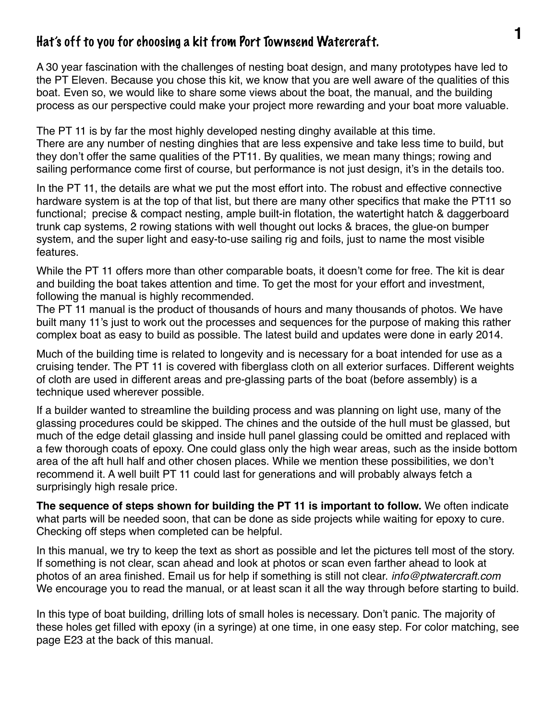## **1** Hat's off to you for choosing a kit from Port Townsend Watercraft.

A 30 year fascination with the challenges of nesting boat design, and many prototypes have led to the PT Eleven. Because you chose this kit, we know that you are well aware of the qualities of this boat. Even so, we would like to share some views about the boat, the manual, and the building process as our perspective could make your project more rewarding and your boat more valuable.

The PT 11 is by far the most highly developed nesting dinghy available at this time. There are any number of nesting dinghies that are less expensive and take less time to build, but they don't offer the same qualities of the PT11. By qualities, we mean many things; rowing and sailing performance come first of course, but performance is not just design, it's in the details too.

In the PT 11, the details are what we put the most effort into. The robust and effective connective hardware system is at the top of that list, but there are many other specifics that make the PT11 so functional; precise & compact nesting, ample built-in flotation, the watertight hatch & daggerboard trunk cap systems, 2 rowing stations with well thought out locks & braces, the glue-on bumper system, and the super light and easy-to-use sailing rig and foils, just to name the most visible features.

While the PT 11 offers more than other comparable boats, it doesn't come for free. The kit is dear and building the boat takes attention and time. To get the most for your effort and investment, following the manual is highly recommended.

The PT 11 manual is the product of thousands of hours and many thousands of photos. We have built many 11's just to work out the processes and sequences for the purpose of making this rather complex boat as easy to build as possible. The latest build and updates were done in early 2014.

Much of the building time is related to longevity and is necessary for a boat intended for use as a cruising tender. The PT 11 is covered with fiberglass cloth on all exterior surfaces. Different weights of cloth are used in different areas and pre-glassing parts of the boat (before assembly) is a technique used wherever possible.

If a builder wanted to streamline the building process and was planning on light use, many of the glassing procedures could be skipped. The chines and the outside of the hull must be glassed, but much of the edge detail glassing and inside hull panel glassing could be omitted and replaced with a few thorough coats of epoxy. One could glass only the high wear areas, such as the inside bottom area of the aft hull half and other chosen places. While we mention these possibilities, we don't recommend it. A well built PT 11 could last for generations and will probably always fetch a surprisingly high resale price.

**The sequence of steps shown for building the PT 11 is important to follow.** We often indicate what parts will be needed soon, that can be done as side projects while waiting for epoxy to cure. Checking off steps when completed can be helpful.

In this manual, we try to keep the text as short as possible and let the pictures tell most of the story. If something is not clear, scan ahead and look at photos or scan even farther ahead to look at photos of an area finished. Email us for help if something is still not clear. *info@ptwatercraft.com* We encourage you to read the manual, or at least scan it all the way through before starting to build.

In this type of boat building, drilling lots of small holes is necessary. Don't panic. The majority of these holes get filled with epoxy (in a syringe) at one time, in one easy step. For color matching, see page E23 at the back of this manual.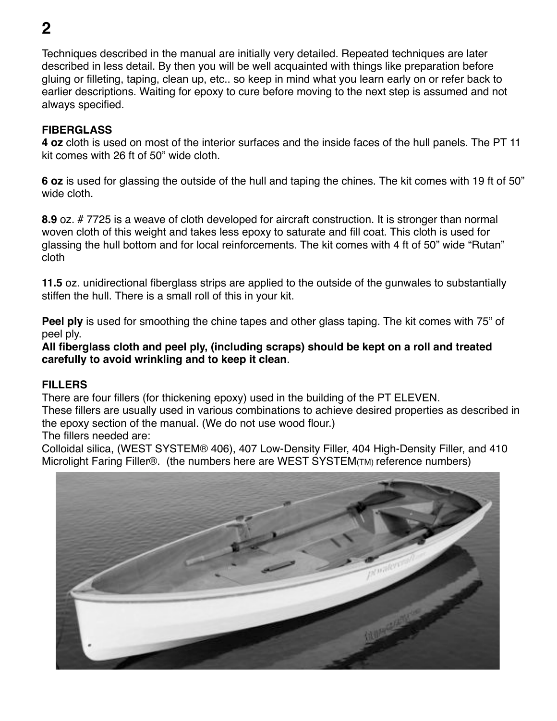Techniques described in the manual are initially very detailed. Repeated techniques are later described in less detail. By then you will be well acquainted with things like preparation before gluing or filleting, taping, clean up, etc.. so keep in mind what you learn early on or refer back to earlier descriptions. Waiting for epoxy to cure before moving to the next step is assumed and not always specified.

#### **FIBERGLASS**

**4 oz** cloth is used on most of the interior surfaces and the inside faces of the hull panels. The PT 11 kit comes with 26 ft of 50" wide cloth.

**6 oz** is used for glassing the outside of the hull and taping the chines. The kit comes with 19 ft of 50" wide cloth.

**8.9** oz. # 7725 is a weave of cloth developed for aircraft construction. It is stronger than normal woven cloth of this weight and takes less epoxy to saturate and fill coat. This cloth is used for glassing the hull bottom and for local reinforcements. The kit comes with 4 ft of 50" wide "Rutan" cloth

**11.5** oz. unidirectional fiberglass strips are applied to the outside of the gunwales to substantially stiffen the hull. There is a small roll of this in your kit.

**Peel ply** is used for smoothing the chine tapes and other glass taping. The kit comes with 75" of peel ply.

**All fiberglass cloth and peel ply, (including scraps) should be kept on a roll and treated carefully to avoid wrinkling and to keep it clean**.

#### **FILLERS**

There are four fillers (for thickening epoxy) used in the building of the PT ELEVEN.

These fillers are usually used in various combinations to achieve desired properties as described in the epoxy section of the manual. (We do not use wood flour.)

The fillers needed are:

Colloidal silica, (WEST SYSTEM® 406), 407 Low-Density Filler, 404 High-Density Filler, and 410 Microlight Faring Filler®. (the numbers here are WEST SYSTEM(TM) reference numbers)

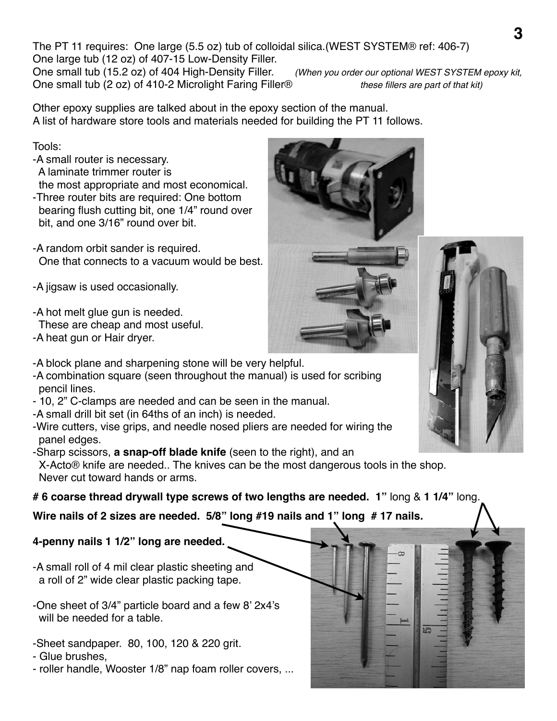The PT 11 requires: One large (5.5 oz) tub of colloidal silica.(WEST SYSTEM® ref: 406-7) One large tub (12 oz) of 407-15 Low-Density Filler.

One small tub (15.2 oz) of 404 High-Density Filler. *(When you order our optional WEST SYSTEM epoxy kit,*  One small tub (2 oz) of 410-2 Microlight Faring Filler®!! ! *these fillers are part of that kit)*

Other epoxy supplies are talked about in the epoxy section of the manual. A list of hardware store tools and materials needed for building the PT 11 follows.

Tools:

-A small router is necessary. A laminate trimmer router is the most appropriate and most economical.

- -Three router bits are required: One bottom bearing flush cutting bit, one 1/4" round over bit, and one 3/16" round over bit.
- -A random orbit sander is required. One that connects to a vacuum would be best.

-A jigsaw is used occasionally.

-A hot melt glue gun is needed.

These are cheap and most useful.

-A heat gun or Hair dryer.

-A block plane and sharpening stone will be very helpful.

- -A combination square (seen throughout the manual) is used for scribing pencil lines.
- 10, 2" C-clamps are needed and can be seen in the manual.
- -A small drill bit set (in 64ths of an inch) is needed.

-Wire cutters, vise grips, and needle nosed pliers are needed for wiring the panel edges.

-Sharp scissors, **a snap-off blade knife** (seen to the right), and an

 X-Acto® knife are needed.. The knives can be the most dangerous tools in the shop. Never cut toward hands or arms.

**# 6 coarse thread drywall type screws of two lengths are needed. 1"** long & **1 1/4"** long.

**Wire nails of 2 sizes are needed. 5/8" long #19 nails and 1" long # 17 nails.** 

### **4-penny nails 1 1/2" long are needed.**

-A small roll of 4 mil clear plastic sheeting and a roll of 2" wide clear plastic packing tape.

-One sheet of 3/4" particle board and a few 8' 2x4's will be needed for a table.

-Sheet sandpaper. 80, 100, 120 & 220 grit.

- Glue brushes,

- roller handle, Wooster 1/8" nap foam roller covers, ...



|  | <b>M</b> |  |  |
|--|----------|--|--|
|  |          |  |  |
|  |          |  |  |

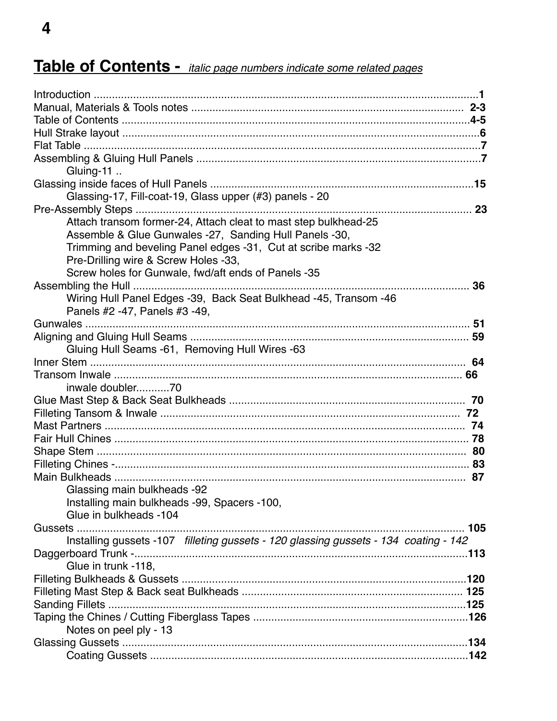# Table of Contents - italic page numbers indicate some related pages

| Gluing-11                                                                            |      |
|--------------------------------------------------------------------------------------|------|
|                                                                                      |      |
| Glassing-17, Fill-coat-19, Glass upper (#3) panels - 20                              |      |
|                                                                                      |      |
| Attach transom former-24, Attach cleat to mast step bulkhead-25                      |      |
| Assemble & Glue Gunwales -27, Sanding Hull Panels -30,                               |      |
| Trimming and beveling Panel edges -31, Cut at scribe marks -32                       |      |
| Pre-Drilling wire & Screw Holes -33,                                                 |      |
| Screw holes for Gunwale, fwd/aft ends of Panels -35                                  |      |
|                                                                                      | 36   |
| Wiring Hull Panel Edges -39, Back Seat Bulkhead -45, Transom -46                     |      |
| Panels #2 -47, Panels #3 -49,                                                        |      |
|                                                                                      |      |
|                                                                                      |      |
| Gluing Hull Seams -61, Removing Hull Wires -63                                       |      |
|                                                                                      |      |
| inwale doubler70                                                                     |      |
|                                                                                      |      |
|                                                                                      |      |
|                                                                                      |      |
|                                                                                      |      |
|                                                                                      |      |
|                                                                                      |      |
|                                                                                      |      |
| Glassing main bulkheads -92                                                          |      |
| Installing main bulkheads -99, Spacers -100,                                         |      |
| Glue in bulkheads -104                                                               |      |
|                                                                                      | .105 |
| Installing gussets -107 filleting gussets - 120 glassing gussets - 134 coating - 142 |      |
|                                                                                      |      |
| Glue in trunk -118,                                                                  |      |
|                                                                                      |      |
|                                                                                      |      |
|                                                                                      |      |
|                                                                                      |      |
| Notes on peel ply - 13                                                               |      |
|                                                                                      |      |
|                                                                                      |      |